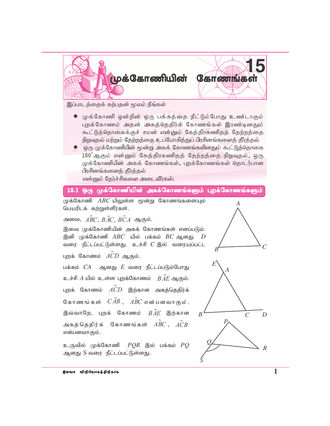

இப்பாடத்தைக் கற்பதன் மூலம் நீங்கள்

- ☀ முக்கோணி ஒன்றின் ஒரு பக்கத்தை நீட்டும்போது உண்டாகும் புறக்கோணம் அதன் அகத்தெதிர்க் கோணங்கள் இரண்டினதும் கூட்டுத்தொகைக்குச் சமன் என்னும் கேத்திரகணிதத் தேற்றத்தை நிறுவுதல் மற்றும் தேற்றத்தை உபயோகித்துப் பிரசினங்களைத் தீர்த்தல்
- <del>\*</del> ஒரு முக்கோணியின் மூன்று அகக் கோணங்களினதும் கூட்டுத்தொகை  $180^\circ$ ஆகும் என்னும் கேத்திரகணிதத் தேற்றத்தை நிறுவுதல், ஒரு முக்கோணியின் அகக் கோணங்கள், புறக்கோணங்கள் தொடர்பான பிரசினங்களைத் தீர்த்தல் என்னும் தேர்ச்சிகளை அடைவீர்கள்.

## 15.1 ஒரு முக்கோணியின் அகக்கோணங்களும் புறக்கோணங்களும்

முக்கோணி  $ABC$  யிலுள்ள மூன்று கோணங்களையும் பெயரிடக் கற்றுள்ளீர்கள்.

அவை,  $\stackrel{\frown}{ABC}$ ,  $\stackrel{\frown}{BC}$ ,  $\stackrel{\frown}{BC}$ ,  $\stackrel{\frown}{BC}A$  ஆகும்.

இவை முக்கோணியின் அகக் கோணங்கள் எனப்படும். இனி முக்கோணி  $ABC$  யில் பக்கம்  $BC$  ஆனது வரை நீட்டப்பட்டுள்ளது. உச்சி  $C$  இல் வரையப்பட்ட

புறக் கோணம்  $\widehat{ACD}$  ஆகும்.

பக்கம்  $CA$  ஆனது  $E$  வரை நீட்டப்படும்போது உச்சி  $A$  யில் உள்ள புறக்கோணம்  $\overrightarrow{BAE}$  ஆகும். புறக் கோணம்  $ACD$  இற்கான அகத்தெதிர்க் கோணங்கள்  $\overrightarrow{CAB}$ ,  $\widehat{ABC}$  என்பனவாகும். இவ்வாறே, புறக் கோணம்  $\hat{BAE}$  இற்கான அகத்தெதிர்க் கோணங்கள்  $\hat{ABC}$  ,  $\hat{ACB}$ என்பனவாகும்.

உருவில் முக்கோணி  $PQR$  இல் பக்கம்  $PQ$ ஆனது S வரை நீட்டப்பட்டுள்ளது.

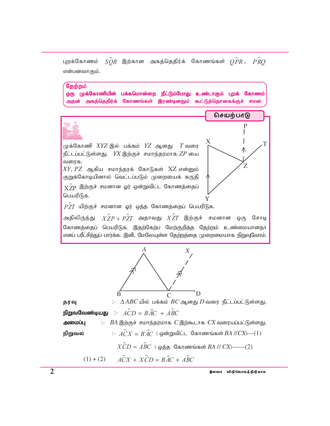$\hat{SOR}$  இற்கான அகத்தெதிர்க் கோணங்கள்  $\hat{OPR}$  ,  $\hat{PRO}$ புறக்கோணம் என்பனவாகும்.

தேற்றம் ஒரு முக்கோணியின் பக்கமொன்றை நீட்டும்போது உண்டாகும் புறக் கோணம் அகத்தெதிர்க் கோணங்கள் இரண்டினதும் கூட்டுத்தொகைக்குச் சமன்.



நிறுவல்

 $\angle XCD = \angle ABC$  ( ஒத்த கோணங்கள் BA // CX)——(2)

$$
(1) + (2) \qquad \widehat{ACX} + \widehat{XCD} = \widehat{BAC} + \widehat{ABC}
$$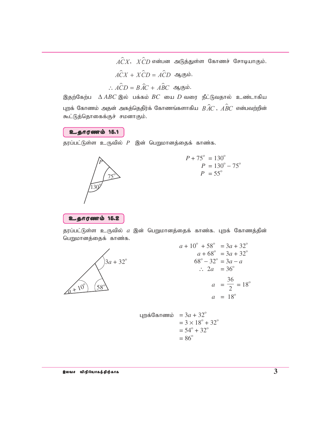$\hat{ACX}$ ,  $\hat{XCD}$  என்பன அடுத்துள்ள கோணச் சோடியாகும்.  $\hat{ACX} + \hat{XCD} = \hat{ACD}$  ஆகும். :  $\hat{ACD} = \hat{BAC} + \hat{ABC}$  ஆகும்.

இதற்கேற்ப $\Delta ABC$  இல் பக்கம்  $BC$  யை  $D$  வரை நீட்டுவதால் உண்டாகிய புறக் கோணம் அதன் அகத்தெதிர்க் கோணங்களாகிய  $\stackrel{\frown}{BAC},\stackrel{\frown}{AC}$  என்பவற்றின் கூட்டுத்தொகைக்குச் சமனாகும்.

உதாரணம் 15.1

தரப்பட்டுள்ள உருவில்  $P$  இன் பெறுமானத்தைக் காண்க.



$$
P + 75^{\circ} = 130^{\circ}
$$
  
\n
$$
P = 130^{\circ} - 75^{\circ}
$$
  
\n
$$
P = 55^{\circ}
$$



தரப்பட்டுள்ள உருவில் *a* இன் பெறுமானத்தைக் காண்க. புறக் கோணத்தின் பெறுமானத்தைக் காண்க.



$$
a + 10^{\circ} + 58^{\circ} = 3a + 32^{\circ}
$$
  
\n
$$
a + 68^{\circ} = 3a + 32^{\circ}
$$
  
\n
$$
68^{\circ} - 32^{\circ} = 3a - a
$$
  
\n
$$
\therefore 2a = 36^{\circ}
$$
  
\n
$$
a = \frac{36}{2} = 18^{\circ}
$$
  
\n
$$
a = 18^{\circ}
$$

$$
4\text{m/s} \cdot \text{atm} = 3a + 32^{\circ}
$$
  
= 3 × 18° + 32°  
= 54° + 32°  
= 86°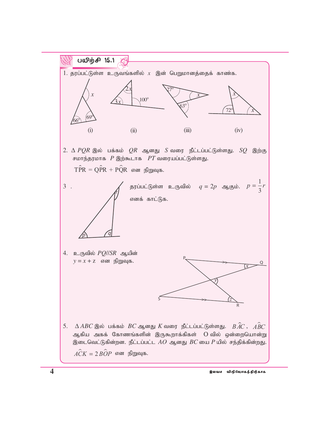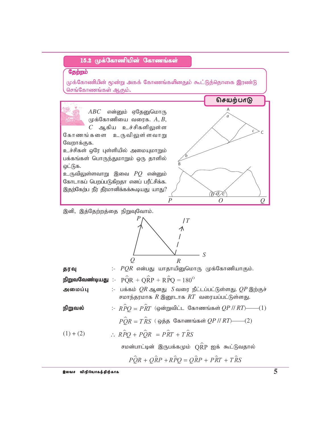# 15.2 முக்கோணியின் கோணங்கள்

## கேற்றம்

முக்கோணியின் மூன்று அகக் கோணங்களினதும் கூட்டுத்தொகை இரண்டு செங்கோணங்கள் ஆகும்.

 $ABC$  என்னும் ஏதேனுமொரு முக்கோணியை வரைக.  $A, B,$  $C$  ஆகிய உச்சிகளிலுள்ள

கோணங்களை உருவிலுள்ளவாறு வேறாக்குக.

உச்சிகள் ஒரே புள்ளியில் அமையுமாறும் பக்கங்கள் பொருந்துமாறும் ஒரு தாளில் ஒட்டுக.

உருவிலுள்ளவாறு இவை  $PQ$  என்னும் கோடாகப் பெறப்படுகிறதா எனப் பரீட்சிக்க. இதற்கேற்ப நீர் தீர்மானிக்கக்கூடியது யாது?



இனி, இத்தேற்றத்தை நிறுவுவோம்.



| தரவு |  |  |  | $\therefore$ $PQR$ என்பது யாதாயினுமொரு முக்கோணியாகும். |
|------|--|--|--|--------------------------------------------------------|
|------|--|--|--|--------------------------------------------------------|

நிறுவவேண்டியது :-  $\hat{POR} + \hat{OR} + \hat{RPO} = 180^\circ$ 

:- பக்கம்  $QR$ ஆனது  $S$ வரை நீட்டப்பட்டுள்ளது.  $QP$  இற்குச் அமைப்பு சமாந்தரமாக  $R$  இனூடாக  $RT$  வரையப்பட்டுள்ளது.

நிறுவல்

 $\hat{POR} = \hat{TRS}$  (ஒத்த கோணங்கள் QP // RT)——(2)

:-  $\hat{RPO} = \hat{PRT}$  (ஒன்றுவிட்ட கோணங்கள்  $QP / RT$ )——(1)

$$
(1) + (2) \qquad \therefore R\widehat{P}Q + P\widehat{Q}R = P\widehat{R}T + T\widehat{R}S
$$

சமன்பாட்டின் இருபக்கமும்  $\stackrel{\frown}{\text{QRP}}$  ஐக் கூட்டுவதால்

$$
\hat{PQR} + \hat{QRP} + \hat{RPQ} = \hat{QRP} + \hat{PRT} + \hat{TRS}
$$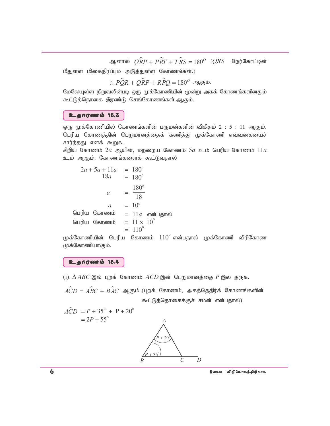ஆனால்  $\stackrel{\frown}{QRP} + \stackrel{\frown}{PRT} + \stackrel{\frown}{RS} = 180^\circ$  (*QRS* நேர்கோட்டின்

மீதுள்ள மிகைநிரப்பும் அடுத்துள்ள கோணங்கள்.)

$$
\therefore PQR + QRP + RPQ = 180^{\circ} \text{ and } \dot{\text{b}}.
$$

மேலேயுள்ள நிறுவலின்படி ஒரு முக்கோணியின் மூன்று அகக் கோணங்களினதும் கூட்டுத்தொகை இரண்டு செங்கோணங்கள் ஆகும்.

#### உதாரணம் 15.3

ஒரு முக்கோணியில் கோணங்களின் பருமன்களின் விகிதம் 2 : 5 : 11 ஆகும். பெரிய கோணத்தின் பெறுமானத்தைக் கணித்து முக்கோணி எவ்வகையைச் சார்ந்தது எனக் கூறுக.

சிறிய கோணம்  $2a$  ஆயின், மற்றைய கோணம்  $5a$  உம் பெரிய கோணம்  $11a$ உம் ஆகும். கோணங்களைக் கூட்டுவதால்

முக்கோணியின் பெரிய கோணம்  $110^\circ$  என்பதால் முக்கோணி விரிகோண முக்கோணியாகும்.

## உதாரணம் 15.4

(i).  $\triangle ABC$  இல் புறக் கோணம் ACD இன் பெறுமானத்தை P இல் தருக.

 $\hat{ACD} = \hat{ABC} + \hat{BAC}$  ஆகும் (புறக் கோணம், அகத்தெதிர்க் கோணங்களின் கூட்டுத்தொகைக்குச் சமன் என்பதால்)

 $\hat{ACD} = P + 35^{\circ} + P + 20^{\circ}$  $= 2P + 55^{\circ}$ 

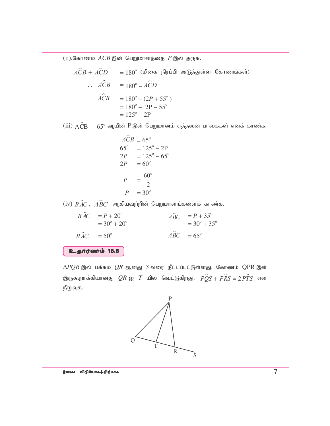$(i)$ .கோணம்  $ACB$  இன் பெறுமானத்தை  $P$  இல் தருக.

$$
\hat{ACB} + \hat{ACD} = 180^{\circ} \text{ (Llomb B)} \quad \text{in } \mathbb{G} \text{ with } \mathbb{G} \text{ is a constant.}
$$
\n
$$
\begin{aligned}\n\therefore \quad \hat{ACB} &= 180^{\circ} - \hat{ACD} \\
\hat{ACB} &= 180^{\circ} - (2P + 55^{\circ}) \\
&= 180^{\circ} - 2P - 55^{\circ} \\
&= 125^{\circ} - 2P\n\end{aligned}
$$

 $(iii)$   $\widehat{ACB} = 65^\circ$  ஆயின்  $P$  இன் பெறுமானம் எத்தனை பாகைகள் எனக் காண்க.

$$
\widehat{ACB} = 65^{\circ} \n65^{\circ} = 125^{\circ} - 2P \n2P = 125^{\circ} - 65^{\circ} \n2P = 60^{\circ} \nP = \frac{60^{\circ}}{2} \nP = 30^{\circ}
$$

 $(iv)$   $\hat{BAC}$  ,  $\hat{ABC}$  ஆகியவற்றின் பெறுமானங்களைக் காண்க.

 $B\hat{A}C = P + 20^{\circ}$  $\hat{ABC}$  =  $P + 35^\circ$  $= 30^{\circ} + 20^{\circ}$   $= 30^{\circ} + 35^{\circ}$  $B\hat{A}C = 50^{\circ}$  $\hat{ABC} = 65^\circ$ 

cjhuzk; 15.5

 $\Delta PQR$  இல் பக்கம்  $QR$  ஆனது  $S$  வரை நீட்டப்பட்டுள்ளது. கோணம் QPR இன் இருகூறாக்கியானது  $QR$  ஐ  $T$  யில் வெட்டுகிறது.  $\stackrel{\frown}{PQS}$  +  $\stackrel{\frown}{PRS}$  = 2  $\stackrel{\frown}{PTS}$  என நிறுவுக.

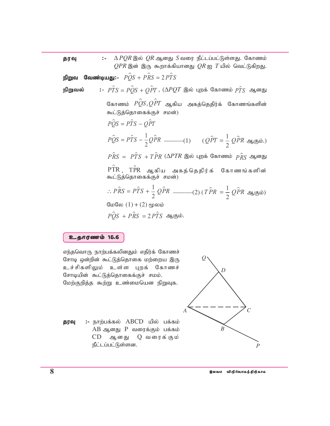$\ddot{z}$  $\triangle PQR$  இல்  $QR$  ஆனது  $S$  வரை நீட்டப்பட்டுள்ளது. கோணம் தரவு  $QPR$  இன் இரு கூறாக்கியானது  $QR$  ஐ  $T$ யில் வெட்டுகிறது. **வேண்டியது:-**  $\hat{POS} + \hat{PRS} = 2\hat{PTS}$ நிறுவ :-  $\hat{PTS} = \hat{POS} + \hat{OPT}$ , ( $\Delta PQT$  இல் புறக் கோணம்  $\hat{PTS}$  ஆனது நிறுவல் கோணம்  $\stackrel{\frown}{PQ}S, \stackrel{\frown}{QPT}$  ஆகிய அகத்தெதிர்க் கோணங்களின் கூட்டுத்தொகைக்குச் சமன்)  $\hat{POS} = \hat{PTS} - \hat{OPT}$  $P\hat{Q}S = P\hat{T}S - \frac{1}{2}Q\hat{P}R$  (2)  $(Q\hat{P}T = \frac{1}{2}Q\hat{P}R$  ஆகும்.)  $\hat{PRS} = \hat{PTS} + \hat{TPR} \; (\Delta PTR \; \textcircled{s} \hat{\omega} \; \text{ up} \hat{\omega} \; \textcircled{f} \; \textcircled{fRS} \; \textcircled{g} \textcircled{fRS}$  $\hat{\text{PTR}}$ ,  $\hat{\text{TPR}}$  ஆகிய அகத்தெதிர்க் கோணங்களின்<br>கூட்டுத்தொகைக்குச் சமன்)  $\therefore P\hat{R}S = P\hat{T}S + \frac{1}{2}Q\hat{P}R$  \_\_\_\_\_\_(2) ( $T\hat{P}R = \frac{1}{2}Q\hat{P}R$  ஆகும்) மேலே  $(1) + (2)$  மூலம்  $\hat{POS} + \hat{PRS} = 2\hat{PRS}$  அகும்.

#### உதாரணம் 15.6

எந்தவொரு நாற்பக்கலினதும் எதிர்க் கோணச் சோடி ஒன்றின் கூட்டுத்தொகை மற்றைய இரு உச்சிகளிலும் உள்ள புறக் கோணச் சோடியின் கூட்டுத்தொகைக்குச் சமம். மேற்குறித்த கூற்று உண்மையென நிறுவுக.

:- நாற்பக்கல் ABCD யில் பக்கம் தரவு  $AB$  ஆனது  $P$  வரைக்கும் பக்கம்  $CD$ ஆ ன து  $Q$  வரைக்கும் நீட்டப்பட்டுள்ளன.

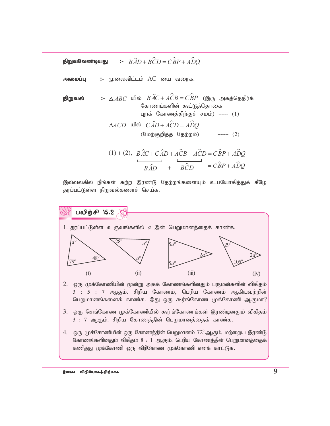#### $\angle BAD + BCD = \angle BP + A\angle DQ$ நிறுவவேண்டியது

 $:$  மூலைவிட்டம்  $AC$  யை வரைக. அமைப்பு

**நிறுவல் :** 
$$
\triangle ABC
$$
யில்  $B\hat{AC} + \hat{ACB} = \hat{CBP}$  (இரு அகத்தெதிர்க் கோணங்களின் கூட்டுத்தொகை  
புறக் கோணத்திற்குச் சமம்)  ----- (1)  
 $\triangle ACD$ யில்  $\hat{CAD} + \hat{ACD} = \hat{ADQ}$   
(மேற்குறித்த தேற்றம்)  ----- (2)

$$
(1) + (2), \quad B\hat{A}C + C\hat{A}D + A\hat{C}B + A\hat{C}D = C\hat{B}P + A\hat{D}Q
$$

$$
B\hat{A}D + B\hat{C}D = C\hat{B}P + A\hat{D}Q
$$

இவ்வலகில் நீங்கள் கற்ற இரண்டு தேற்றங்களையும் உபயோகித்துக் கீழே தரப்பட்டுள்ள நிறுவல்களைச் செய்க.